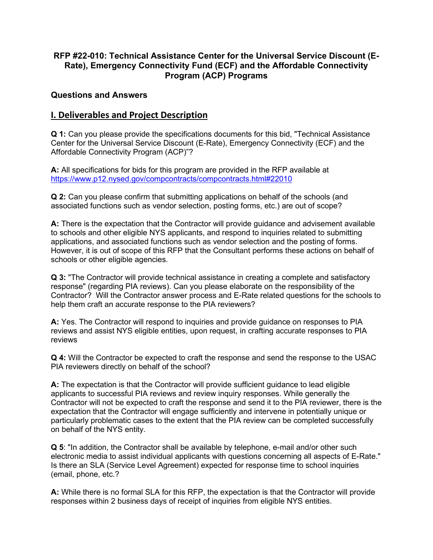# **RFP #22-010: Technical Assistance Center for the Universal Service Discount (E-Rate), Emergency Connectivity Fund (ECF) and the Affordable Connectivity Program (ACP) Programs**

### **Questions and Answers**

# **I. Deliverables and Project Description**

**Q 1:** Can you please provide the specifications documents for this bid, "Technical Assistance Center for the Universal Service Discount (E-Rate), Emergency Connectivity (ECF) and the Affordable Connectivity Program (ACP)"?

**A:** All specifications for bids for this program are provided in the RFP available at <https://www.p12.nysed.gov/compcontracts/compcontracts.html#22010>

**Q 2:** Can you please confirm that submitting applications on behalf of the schools (and associated functions such as vendor selection, posting forms, etc.) are out of scope?

**A:** There is the expectation that the Contractor will provide guidance and advisement available to schools and other eligible NYS applicants, and respond to inquiries related to submitting applications, and associated functions such as vendor selection and the posting of forms. However, it is out of scope of this RFP that the Consultant performs these actions on behalf of schools or other eligible agencies.

**Q 3:** "The Contractor will provide technical assistance in creating a complete and satisfactory response" (regarding PIA reviews). Can you please elaborate on the responsibility of the Contractor? Will the Contractor answer process and E-Rate related questions for the schools to help them craft an accurate response to the PIA reviewers?

**A:** Yes. The Contractor will respond to inquiries and provide guidance on responses to PIA reviews and assist NYS eligible entities, upon request, in crafting accurate responses to PIA reviews

**Q 4:** Will the Contractor be expected to craft the response and send the response to the USAC PIA reviewers directly on behalf of the school?

**A:** The expectation is that the Contractor will provide sufficient guidance to lead eligible applicants to successful PIA reviews and review inquiry responses. While generally the Contractor will not be expected to craft the response and send it to the PIA reviewer, there is the expectation that the Contractor will engage sufficiently and intervene in potentially unique or particularly problematic cases to the extent that the PIA review can be completed successfully on behalf of the NYS entity.

**Q 5**: "In addition, the Contractor shall be available by telephone, e-mail and/or other such electronic media to assist individual applicants with questions concerning all aspects of E-Rate." Is there an SLA (Service Level Agreement) expected for response time to school inquiries (email, phone, etc.?

**A:** While there is no formal SLA for this RFP, the expectation is that the Contractor will provide responses within 2 business days of receipt of inquiries from eligible NYS entities.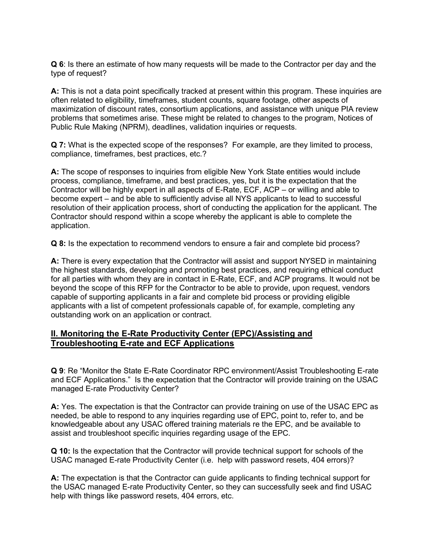**Q 6**: Is there an estimate of how many requests will be made to the Contractor per day and the type of request?

**A:** This is not a data point specifically tracked at present within this program. These inquiries are often related to eligibility, timeframes, student counts, square footage, other aspects of maximization of discount rates, consortium applications, and assistance with unique PIA review problems that sometimes arise. These might be related to changes to the program, Notices of Public Rule Making (NPRM), deadlines, validation inquiries or requests.

**Q 7:** What is the expected scope of the responses? For example, are they limited to process, compliance, timeframes, best practices, etc.?

**A:** The scope of responses to inquiries from eligible New York State entities would include process, compliance, timeframe, and best practices, yes, but it is the expectation that the Contractor will be highly expert in all aspects of E-Rate, ECF, ACP – or willing and able to become expert – and be able to sufficiently advise all NYS applicants to lead to successful resolution of their application process, short of conducting the application for the applicant. The Contractor should respond within a scope whereby the applicant is able to complete the application.

**Q 8:** Is the expectation to recommend vendors to ensure a fair and complete bid process?

**A:** There is every expectation that the Contractor will assist and support NYSED in maintaining the highest standards, developing and promoting best practices, and requiring ethical conduct for all parties with whom they are in contact in E-Rate, ECF, and ACP programs. It would not be beyond the scope of this RFP for the Contractor to be able to provide, upon request, vendors capable of supporting applicants in a fair and complete bid process or providing eligible applicants with a list of competent professionals capable of, for example, completing any outstanding work on an application or contract.

### **II. Monitoring the E-Rate Productivity Center (EPC)/Assisting and Troubleshooting E-rate and ECF Applications**

**Q 9**: Re "Monitor the State E-Rate Coordinator RPC environment/Assist Troubleshooting E-rate and ECF Applications." Is the expectation that the Contractor will provide training on the USAC managed E-rate Productivity Center?

**A:** Yes. The expectation is that the Contractor can provide training on use of the USAC EPC as needed, be able to respond to any inquiries regarding use of EPC, point to, refer to, and be knowledgeable about any USAC offered training materials re the EPC, and be available to assist and troubleshoot specific inquiries regarding usage of the EPC.

**Q 10:** Is the expectation that the Contractor will provide technical support for schools of the USAC managed E-rate Productivity Center (i.e. help with password resets, 404 errors)?

**A:** The expectation is that the Contractor can guide applicants to finding technical support for the USAC managed E-rate Productivity Center, so they can successfully seek and find USAC help with things like password resets, 404 errors, etc.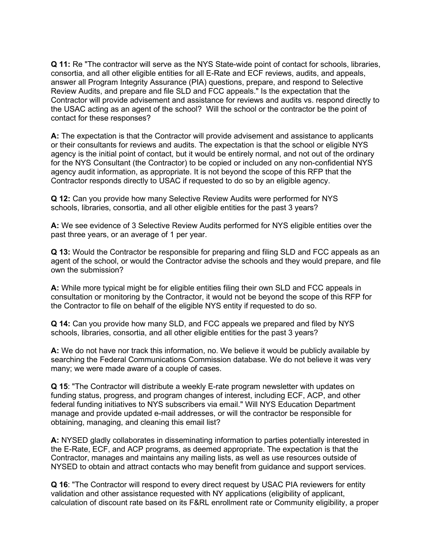**Q 11:** Re "The contractor will serve as the NYS State-wide point of contact for schools, libraries, consortia, and all other eligible entities for all E-Rate and ECF reviews, audits, and appeals, answer all Program Integrity Assurance (PIA) questions, prepare, and respond to Selective Review Audits, and prepare and file SLD and FCC appeals." Is the expectation that the Contractor will provide advisement and assistance for reviews and audits vs. respond directly to the USAC acting as an agent of the school? Will the school or the contractor be the point of contact for these responses?

**A:** The expectation is that the Contractor will provide advisement and assistance to applicants or their consultants for reviews and audits. The expectation is that the school or eligible NYS agency is the initial point of contact, but it would be entirely normal, and not out of the ordinary for the NYS Consultant (the Contractor) to be copied or included on any non-confidential NYS agency audit information, as appropriate. It is not beyond the scope of this RFP that the Contractor responds directly to USAC if requested to do so by an eligible agency.

**Q 12:** Can you provide how many Selective Review Audits were performed for NYS schools, libraries, consortia, and all other eligible entities for the past 3 years?

**A:** We see evidence of 3 Selective Review Audits performed for NYS eligible entities over the past three years, or an average of 1 per year.

**Q 13:** Would the Contractor be responsible for preparing and filing SLD and FCC appeals as an agent of the school, or would the Contractor advise the schools and they would prepare, and file own the submission?

**A:** While more typical might be for eligible entities filing their own SLD and FCC appeals in consultation or monitoring by the Contractor, it would not be beyond the scope of this RFP for the Contractor to file on behalf of the eligible NYS entity if requested to do so.

**Q 14:** Can you provide how many SLD, and FCC appeals we prepared and filed by NYS schools, libraries, consortia, and all other eligible entities for the past 3 years?

**A:** We do not have nor track this information, no. We believe it would be publicly available by searching the Federal Communications Commission database. We do not believe it was very many; we were made aware of a couple of cases.

**Q 15**: "The Contractor will distribute a weekly E-rate program newsletter with updates on funding status, progress, and program changes of interest, including ECF, ACP, and other federal funding initiatives to NYS subscribers via email." Will NYS Education Department manage and provide updated e-mail addresses, or will the contractor be responsible for obtaining, managing, and cleaning this email list?

**A:** NYSED gladly collaborates in disseminating information to parties potentially interested in the E-Rate, ECF, and ACP programs, as deemed appropriate. The expectation is that the Contractor, manages and maintains any mailing lists, as well as use resources outside of NYSED to obtain and attract contacts who may benefit from guidance and support services.

**Q 16**: "The Contractor will respond to every direct request by USAC PIA reviewers for entity validation and other assistance requested with NY applications (eligibility of applicant, calculation of discount rate based on its F&RL enrollment rate or Community eligibility, a proper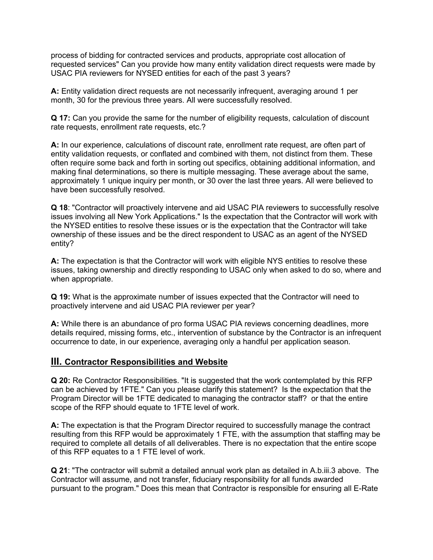process of bidding for contracted services and products, appropriate cost allocation of requested services" Can you provide how many entity validation direct requests were made by USAC PIA reviewers for NYSED entities for each of the past 3 years?

**A:** Entity validation direct requests are not necessarily infrequent, averaging around 1 per month, 30 for the previous three years. All were successfully resolved.

**Q 17:** Can you provide the same for the number of eligibility requests, calculation of discount rate requests, enrollment rate requests, etc.?

**A:** In our experience, calculations of discount rate, enrollment rate request, are often part of entity validation requests, or conflated and combined with them, not distinct from them. These often require some back and forth in sorting out specifics, obtaining additional information, and making final determinations, so there is multiple messaging. These average about the same, approximately 1 unique inquiry per month, or 30 over the last three years. All were believed to have been successfully resolved.

**Q 18**: "Contractor will proactively intervene and aid USAC PIA reviewers to successfully resolve issues involving all New York Applications." Is the expectation that the Contractor will work with the NYSED entities to resolve these issues or is the expectation that the Contractor will take ownership of these issues and be the direct respondent to USAC as an agent of the NYSED entity?

**A:** The expectation is that the Contractor will work with eligible NYS entities to resolve these issues, taking ownership and directly responding to USAC only when asked to do so, where and when appropriate.

**Q 19:** What is the approximate number of issues expected that the Contractor will need to proactively intervene and aid USAC PIA reviewer per year?

**A:** While there is an abundance of pro forma USAC PIA reviews concerning deadlines, more details required, missing forms, etc., intervention of substance by the Contractor is an infrequent occurrence to date, in our experience, averaging only a handful per application season.

### **III. Contractor Responsibilities and Website**

**Q 20:** Re Contractor Responsibilities. "It is suggested that the work contemplated by this RFP can be achieved by 1FTE." Can you please clarify this statement? Is the expectation that the Program Director will be 1FTE dedicated to managing the contractor staff? or that the entire scope of the RFP should equate to 1FTE level of work.

**A:** The expectation is that the Program Director required to successfully manage the contract resulting from this RFP would be approximately 1 FTE, with the assumption that staffing may be required to complete all details of all deliverables. There is no expectation that the entire scope of this RFP equates to a 1 FTE level of work.

**Q 21**: "The contractor will submit a detailed annual work plan as detailed in A.b.iii.3 above. The Contractor will assume, and not transfer, fiduciary responsibility for all funds awarded pursuant to the program." Does this mean that Contractor is responsible for ensuring all E-Rate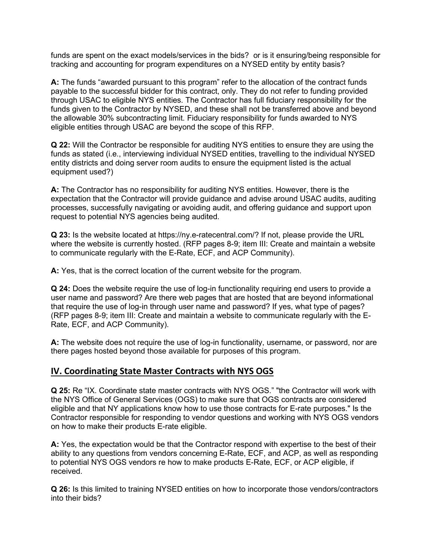funds are spent on the exact models/services in the bids? or is it ensuring/being responsible for tracking and accounting for program expenditures on a NYSED entity by entity basis?

**A:** The funds "awarded pursuant to this program" refer to the allocation of the contract funds payable to the successful bidder for this contract, only. They do not refer to funding provided through USAC to eligible NYS entities. The Contractor has full fiduciary responsibility for the funds given to the Contractor by NYSED, and these shall not be transferred above and beyond the allowable 30% subcontracting limit. Fiduciary responsibility for funds awarded to NYS eligible entities through USAC are beyond the scope of this RFP.

**Q 22:** Will the Contractor be responsible for auditing NYS entities to ensure they are using the funds as stated (i.e., interviewing individual NYSED entities, travelling to the individual NYSED entity districts and doing server room audits to ensure the equipment listed is the actual equipment used?)

**A:** The Contractor has no responsibility for auditing NYS entities. However, there is the expectation that the Contractor will provide guidance and advise around USAC audits, auditing processes, successfully navigating or avoiding audit, and offering guidance and support upon request to potential NYS agencies being audited.

**Q 23:** Is the website located at https://ny.e-ratecentral.com/? If not, please provide the URL where the website is currently hosted. (RFP pages 8-9; item III: Create and maintain a website to communicate regularly with the E-Rate, ECF, and ACP Community).

**A:** Yes, that is the correct location of the current website for the program.

**Q 24:** Does the website require the use of log-in functionality requiring end users to provide a user name and password? Are there web pages that are hosted that are beyond informational that require the use of log-in through user name and password? If yes, what type of pages? (RFP pages 8-9; item III: Create and maintain a website to communicate regularly with the E-Rate, ECF, and ACP Community).

**A:** The website does not require the use of log-in functionality, username, or password, nor are there pages hosted beyond those available for purposes of this program.

## **IV. Coordinating State Master Contracts with NYS OGS**

**Q 25:** Re "IX. Coordinate state master contracts with NYS OGS." "the Contractor will work with the NYS Office of General Services (OGS) to make sure that OGS contracts are considered eligible and that NY applications know how to use those contracts for E-rate purposes." Is the Contractor responsible for responding to vendor questions and working with NYS OGS vendors on how to make their products E-rate eligible.

**A:** Yes, the expectation would be that the Contractor respond with expertise to the best of their ability to any questions from vendors concerning E-Rate, ECF, and ACP, as well as responding to potential NYS OGS vendors re how to make products E-Rate, ECF, or ACP eligible, if received.

**Q 26:** Is this limited to training NYSED entities on how to incorporate those vendors/contractors into their bids?